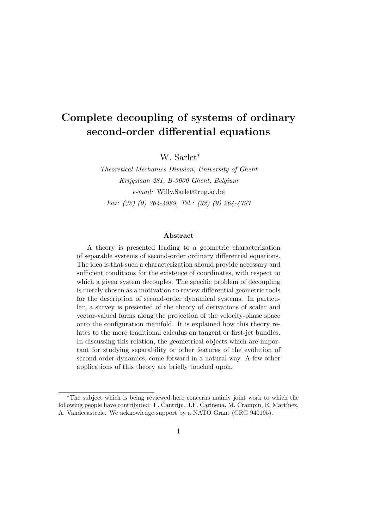## Complete decoupling of systems of ordinary second-order differential equations

W. Sarlet<sup>∗</sup>

Theoretical Mechanics Division, University of Ghent Krijgslaan 281, B-9000 Ghent, Belgium e-mail: Willy.Sarlet@rug.ac.be Fax: (32) (9) 264-4989, Tel.: (32) (9) 264-4797

#### Abstract

A theory is presented leading to a geometric characterization of separable systems of second-order ordinary differential equations. The idea is that such a characterization should provide necessary and sufficient conditions for the existence of coordinates, with respect to which a given system decouples. The specific problem of decoupling is merely chosen as a motivation to review differential geometric tools for the description of second-order dynamical systems. In particular, a survey is presented of the theory of derivations of scalar and vector-valued forms along the projection of the velocity-phase space onto the configuration manifold. It is explained how this theory relates to the more traditional calculus on tangent or first-jet bundles. In discussing this relation, the geometrical objects which are important for studying separability or other features of the evolution of second-order dynamics, come forward in a natural way. A few other applications of this theory are briefly touched upon.

<sup>∗</sup>The subject which is being reviewed here concerns mainly joint work to which the following people have contributed: F. Cantrijn, J.F. Cariñena, M. Crampin, E. Martínez, A. Vandecasteele. We acknowledge support by a NATO Grant (CRG 940195).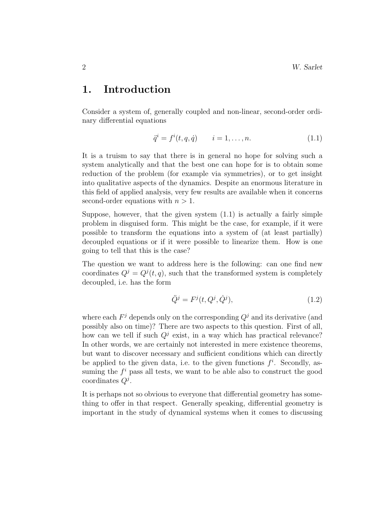### 1. Introduction

Consider a system of, generally coupled and non-linear, second-order ordinary differential equations

$$
\ddot{q}^i = f^i(t, q, \dot{q}) \qquad i = 1, \dots, n. \tag{1.1}
$$

It is a truism to say that there is in general no hope for solving such a system analytically and that the best one can hope for is to obtain some reduction of the problem (for example via symmetries), or to get insight into qualitative aspects of the dynamics. Despite an enormous literature in this field of applied analysis, very few results are available when it concerns second-order equations with  $n > 1$ .

Suppose, however, that the given system  $(1.1)$  is actually a fairly simple problem in disguised form. This might be the case, for example, if it were possible to transform the equations into a system of (at least partially) decoupled equations or if it were possible to linearize them. How is one going to tell that this is the case?

The question we want to address here is the following: can one find new coordinates  $Q^j = Q^j(t, q)$ , such that the transformed system is completely decoupled, i.e. has the form

$$
\ddot{Q}^j = F^j(t, Q^j, \dot{Q}^j),\tag{1.2}
$$

where each  $F<sup>j</sup>$  depends only on the corresponding  $Q<sup>j</sup>$  and its derivative (and possibly also on time)? There are two aspects to this question. First of all, how can we tell if such  $Q^j$  exist, in a way which has practical relevance? In other words, we are certainly not interested in mere existence theorems, but want to discover necessary and sufficient conditions which can directly be applied to the given data, i.e. to the given functions  $f^i$ . Secondly, assuming the  $f^i$  pass all tests, we want to be able also to construct the good coordinates  $Q^j$ .

It is perhaps not so obvious to everyone that differential geometry has something to offer in that respect. Generally speaking, differential geometry is important in the study of dynamical systems when it comes to discussing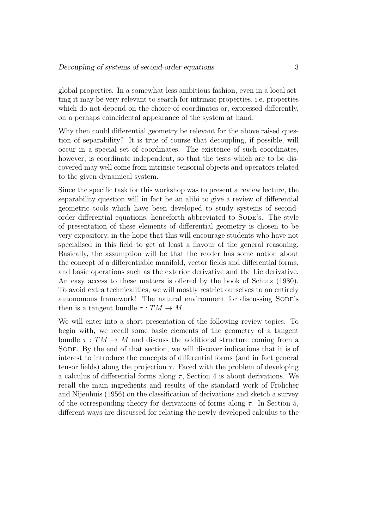global properties. In a somewhat less ambitious fashion, even in a local setting it may be very relevant to search for intrinsic properties, i.e. properties which do not depend on the choice of coordinates or, expressed differently, on a perhaps coincidental appearance of the system at hand.

Why then could differential geometry be relevant for the above raised question of separability? It is true of course that decoupling, if possible, will occur in a special set of coordinates. The existence of such coordinates, however, is coordinate independent, so that the tests which are to be discovered may well come from intrinsic tensorial objects and operators related to the given dynamical system.

Since the specific task for this workshop was to present a review lecture, the separability question will in fact be an alibi to give a review of differential geometric tools which have been developed to study systems of secondorder differential equations, henceforth abbreviated to SODE's. The style of presentation of these elements of differential geometry is chosen to be very expository, in the hope that this will encourage students who have not specialised in this field to get at least a flavour of the general reasoning. Basically, the assumption will be that the reader has some notion about the concept of a differentiable manifold, vector fields and differential forms, and basic operations such as the exterior derivative and the Lie derivative. An easy access to these matters is offered by the book of Schutz (1980). To avoid extra technicalities, we will mostly restrict ourselves to an entirely autonomous framework! The natural environment for discussing SODE's then is a tangent bundle  $\tau: TM \to M$ .

We will enter into a short presentation of the following review topics. To begin with, we recall some basic elements of the geometry of a tangent bundle  $\tau: TM \to M$  and discuss the additional structure coming from a SODE. By the end of that section, we will discover indications that it is of interest to introduce the concepts of differential forms (and in fact general tensor fields) along the projection  $\tau$ . Faced with the problem of developing a calculus of differential forms along  $\tau$ , Section 4 is about derivations. We recall the main ingredients and results of the standard work of Frölicher and Nijenhuis (1956) on the classification of derivations and sketch a survey of the corresponding theory for derivations of forms along  $\tau$ . In Section 5, different ways are discussed for relating the newly developed calculus to the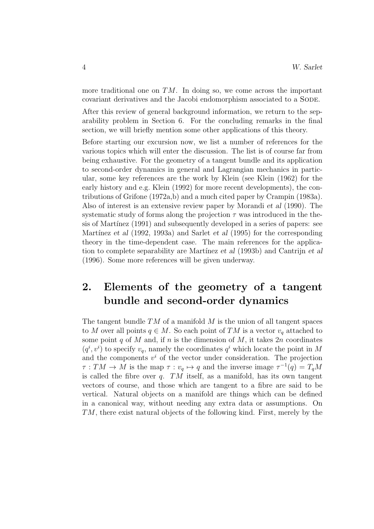more traditional one on  $TM$ . In doing so, we come across the important covariant derivatives and the Jacobi endomorphism associated to a SODE.

After this review of general background information, we return to the separability problem in Section 6. For the concluding remarks in the final section, we will briefly mention some other applications of this theory.

Before starting our excursion now, we list a number of references for the various topics which will enter the discussion. The list is of course far from being exhaustive. For the geometry of a tangent bundle and its application to second-order dynamics in general and Lagrangian mechanics in particular, some key references are the work by Klein (see Klein (1962) for the early history and e.g. Klein (1992) for more recent developments), the contributions of Grifone  $(1972a,b)$  and a much cited paper by Crampin  $(1983a)$ . Also of interest is an extensive review paper by Morandi et al (1990). The systematic study of forms along the projection  $\tau$  was introduced in the thesis of Martínez (1991) and subsequently developed in a series of papers: see Martínez et al  $(1992, 1993a)$  and Sarlet et al  $(1995)$  for the corresponding theory in the time-dependent case. The main references for the application to complete separability are Martínez et al (1993b) and Cantrijn et al (1996). Some more references will be given underway.

## 2. Elements of the geometry of a tangent bundle and second-order dynamics

The tangent bundle  $TM$  of a manifold M is the union of all tangent spaces to M over all points  $q \in M$ . So each point of TM is a vector  $v_q$  attached to some point q of M and, if n is the dimension of M, it takes  $2n$  coordinates  $(q^i, v^i)$  to specify  $v_q$ , namely the coordinates  $q^i$  which locate the point in M and the components  $v^i$  of the vector under consideration. The projection  $\tau: TM \to M$  is the map  $\tau: v_q \mapsto q$  and the inverse image  $\tau^{-1}(q) = T_qM$ is called the fibre over  $q$ . TM itself, as a manifold, has its own tangent vectors of course, and those which are tangent to a fibre are said to be vertical. Natural objects on a manifold are things which can be defined in a canonical way, without needing any extra data or assumptions. On TM, there exist natural objects of the following kind. First, merely by the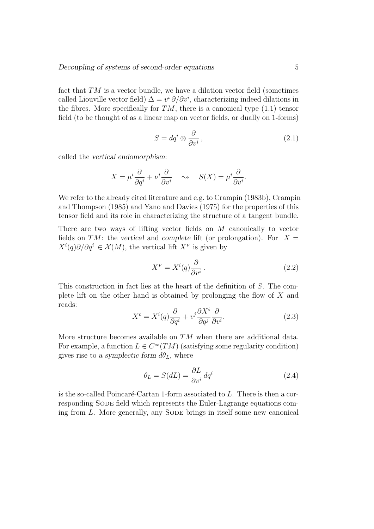fact that  $TM$  is a vector bundle, we have a dilation vector field (sometimes called Liouville vector field)  $\Delta = v^i \partial / \partial v^i$ , characterizing indeed dilations in the fibres. More specifically for  $TM$ , there is a canonical type  $(1,1)$  tensor field (to be thought of as a linear map on vector fields, or dually on 1-forms)

$$
S = dq^i \otimes \frac{\partial}{\partial v^i},\qquad(2.1)
$$

called the vertical endomorphism:

$$
X = \mu^i \frac{\partial}{\partial q^i} + \nu^i \frac{\partial}{\partial v^i} \quad \leadsto \quad S(X) = \mu^i \frac{\partial}{\partial v^i}.
$$

We refer to the already cited literature and e.g. to Crampin (1983b), Crampin and Thompson (1985) and Yano and Davies (1975) for the properties of this tensor field and its role in characterizing the structure of a tangent bundle.

There are two ways of lifting vector fields on M canonically to vector fields on TM: the vertical and complete lift (or prolongation). For  $X =$  $X^{i}(q)\partial/\partial q^{i} \in \mathcal{X}(M)$ , the vertical lift  $X^{V}$  is given by

$$
X^{V} = X^{i}(q) \frac{\partial}{\partial v^{i}}.
$$
\n(2.2)

This construction in fact lies at the heart of the definition of S. The complete lift on the other hand is obtained by prolonging the flow of X and reads:

$$
X^{c} = X^{i}(q)\frac{\partial}{\partial q^{i}} + v^{j}\frac{\partial X^{i}}{\partial q^{j}}\frac{\partial}{\partial v^{i}}.
$$
\n(2.3)

More structure becomes available on  $TM$  when there are additional data. For example, a function  $L \in C^{\infty}(TM)$  (satisfying some regularity condition) gives rise to a symplectic form  $d\theta_L$ , where

$$
\theta_L = S(dL) = \frac{\partial L}{\partial v^i} dq^i \tag{2.4}
$$

is the so-called Poincaré-Cartan 1-form associated to  $L$ . There is then a corresponding Sode field which represents the Euler-Lagrange equations coming from L. More generally, any SODE brings in itself some new canonical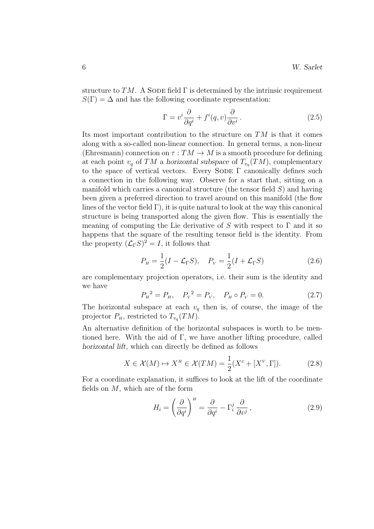structure to TM. A SODE field  $\Gamma$  is determined by the intrinsic requirement  $S(\Gamma) = \Delta$  and has the following coordinate representation:

$$
\Gamma = v^i \frac{\partial}{\partial q^i} + f^i(q, v) \frac{\partial}{\partial v^i}.
$$
\n(2.5)

Its most important contribution to the structure on  $TM$  is that it comes along with a so-called non-linear connection. In general terms, a non-linear (Ehresmann) connection on  $\tau: TM \to M$  is a smooth procedure for defining at each point  $v_q$  of TM a horizontal subspace of  $T_{v_q}(TM)$ , complementary to the space of vertical vectors. Every SODE  $\Gamma$  canonically defines such a connection in the following way. Observe for a start that, sitting on a manifold which carries a canonical structure (the tensor field  $S$ ) and having been given a preferred direction to travel around on this manifold (the flow lines of the vector field  $\Gamma$ ), it is quite natural to look at the way this canonical structure is being transported along the given flow. This is essentially the meaning of computing the Lie derivative of S with respect to  $\Gamma$  and it so happens that the square of the resulting tensor field is the identity. From the property  $(\mathcal{L}_{\Gamma}S)^2 = I$ , it follows that

$$
P_H = \frac{1}{2}(I - \mathcal{L}_{\Gamma}S), \quad P_V = \frac{1}{2}(I + \mathcal{L}_{\Gamma}S)
$$
 (2.6)

are complementary projection operators, i.e. their sum is the identity and we have

$$
P_H^2 = P_H, \quad P_V^2 = P_V, \quad P_H \circ P_V = 0. \tag{2.7}
$$

The horizontal subspace at each  $v_q$  then is, of course, the image of the projector  $P_H$ , restricted to  $T_{v_q}(TM)$ .

An alternative definition of the horizontal subspaces is worth to be mentioned here. With the aid of Γ, we have another lifting procedure, called horizontal lift, which can directly be defined as follows

$$
X \in \mathcal{X}(M) \mapsto X^H \in \mathcal{X}(TM) = \frac{1}{2}(X^c + [X^V, \Gamma]).
$$
 (2.8)

For a coordinate explanation, it suffices to look at the lift of the coordinate fields on  $M$ , which are of the form

$$
H_i = \left(\frac{\partial}{\partial q^i}\right)^H = \frac{\partial}{\partial q^i} - \Gamma_i^j \frac{\partial}{\partial v^j},\qquad(2.9)
$$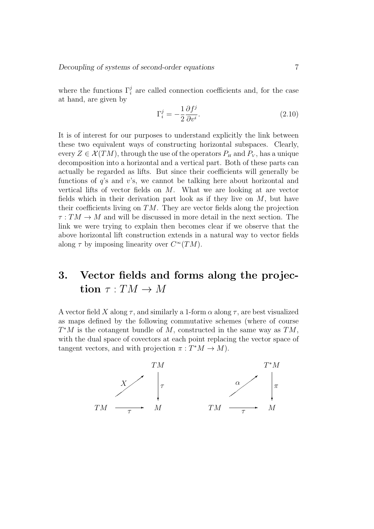where the functions  $\Gamma_i^j$  are called connection coefficients and, for the case at hand, are given by

$$
\Gamma_i^j = -\frac{1}{2} \frac{\partial f^j}{\partial v^i}.
$$
\n(2.10)

It is of interest for our purposes to understand explicitly the link between these two equivalent ways of constructing horizontal subspaces. Clearly, every  $Z \in \mathcal{X}(TM)$ , through the use of the operators  $P_H$  and  $P_V$ , has a unique decomposition into a horizontal and a vertical part. Both of these parts can actually be regarded as lifts. But since their coefficients will generally be functions of  $q$ 's and  $v$ 's, we cannot be talking here about horizontal and vertical lifts of vector fields on M. What we are looking at are vector fields which in their derivation part look as if they live on  $M$ , but have their coefficients living on  $TM$ . They are vector fields along the projection  $\tau: TM \to M$  and will be discussed in more detail in the next section. The link we were trying to explain then becomes clear if we observe that the above horizontal lift construction extends in a natural way to vector fields along  $\tau$  by imposing linearity over  $C^{\infty}(TM)$ .

# 3. Vector fields and forms along the projection  $\tau:TM\to M$

A vector field X along  $\tau$ , and similarly a 1-form  $\alpha$  along  $\tau$ , are best visualized as maps defined by the following commutative schemes (where of course  $T^*M$  is the cotangent bundle of M, constructed in the same way as  $TM$ , with the dual space of covectors at each point replacing the vector space of tangent vectors, and with projection  $\pi : T^*M \to M$ ).

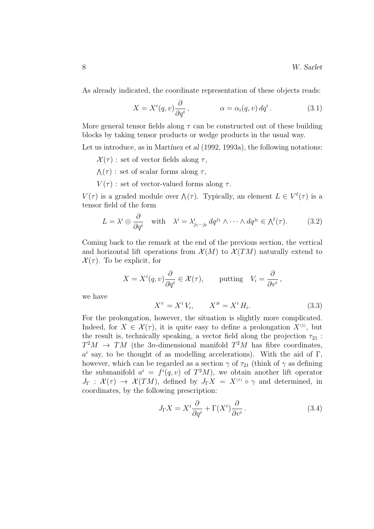As already indicated, the coordinate representation of these objects reads:

$$
X = X^{i}(q, v) \frac{\partial}{\partial q^{i}}, \qquad \alpha = \alpha_{i}(q, v) dq^{i}. \qquad (3.1)
$$

More general tensor fields along  $\tau$  can be constructed out of these building blocks by taking tensor products or wedge products in the usual way.

Let us introduce, as in Martínez et al  $(1992, 1993a)$ , the following notations:

- $\mathcal{X}(\tau)$ : set of vector fields along  $\tau$ ,
- $\Lambda(\tau)$ : set of scalar forms along  $\tau$ ,
- $V(\tau)$ : set of vector-valued forms along  $\tau$ .

 $V(\tau)$  is a graded module over  $\Lambda(\tau)$ . Typically, an element  $L \in V^{\ell}(\tau)$  is a tensor field of the form

$$
L = \lambda^i \otimes \frac{\partial}{\partial q^i} \quad \text{with} \quad \lambda^i = \lambda^i_{j_1 \cdots j_\ell} \, dq^{j_1} \wedge \cdots \wedge dq^{j_\ell} \in \Lambda^\ell(\tau). \tag{3.2}
$$

Coming back to the remark at the end of the previous section, the vertical and horizontal lift operations from  $\mathcal{X}(M)$  to  $\mathcal{X}(TM)$  naturally extend to  $\mathcal{X}(\tau)$ . To be explicit, for

$$
X = X^{i}(q, v) \frac{\partial}{\partial q^{i}} \in \mathcal{X}(\tau), \quad \text{putting} \quad V_{i} = \frac{\partial}{\partial v^{i}},
$$

we have

$$
X^V = X^i V_i, \qquad X^H = X^i H_i. \tag{3.3}
$$

For the prolongation, however, the situation is slightly more complicated. Indeed, for  $X \in \mathcal{X}(\tau)$ , it is quite easy to define a prolongation  $X^{(1)}$ , but the result is, technically speaking, a vector field along the projection  $\tau_{21}$ :  $T^2M \rightarrow TM$  (the 3n-dimensional manifold  $T^2M$  has fibre coordinates,  $a^i$  say, to be thought of as modelling accelerations). With the aid of  $\Gamma$ , however, which can be regarded as a section  $\gamma$  of  $\tau_{21}$  (think of  $\gamma$  as defining the submanifold  $a^i = f^i(q, v)$  of  $T^2M$ , we obtain another lift operator  $J_{\Gamma}$  :  $\mathcal{X}(\tau) \rightarrow \mathcal{X}(TM)$ , defined by  $J_{\Gamma}X = X^{(1)} \circ \gamma$  and determined, in coordinates, by the following prescription:

$$
J_{\Gamma}X = X^{i}\frac{\partial}{\partial q^{i}} + \Gamma(X^{i})\frac{\partial}{\partial v^{i}}.
$$
\n(3.4)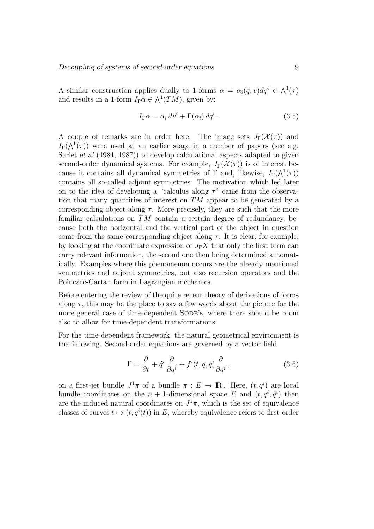A similar construction applies dually to 1-forms  $\alpha = \alpha_i(q, v) dq^i \in \Lambda^1(\tau)$ and results in a 1-form  $I_{\Gamma} \alpha \in \Lambda^1(TM)$ , given by:

$$
I_{\Gamma}\alpha = \alpha_i dv^i + \Gamma(\alpha_i) dq^i.
$$
 (3.5)

A couple of remarks are in order here. The image sets  $J_{\Gamma}(\mathcal{X}(\tau))$  and  $I_{\Gamma}(\Lambda^1(\tau))$  were used at an earlier stage in a number of papers (see e.g. Sarlet et al (1984, 1987)) to develop calculational aspects adapted to given second-order dynamical systems. For example,  $J_{\Gamma}(\mathcal{X}(\tau))$  is of interest because it contains all dynamical symmetries of  $\Gamma$  and, likewise,  $I_{\Gamma}(\Lambda^1(\tau))$ contains all so-called adjoint symmetries. The motivation which led later on to the idea of developing a "calculus along  $\tau$ " came from the observation that many quantities of interest on  $TM$  appear to be generated by a corresponding object along  $\tau$ . More precisely, they are such that the more familiar calculations on  $TM$  contain a certain degree of redundancy, because both the horizontal and the vertical part of the object in question come from the same corresponding object along  $\tau$ . It is clear, for example, by looking at the coordinate expression of  $J_{\Gamma}X$  that only the first term can carry relevant information, the second one then being determined automatically. Examples where this phenomenon occurs are the already mentioned symmetries and adjoint symmetries, but also recursion operators and the Poincaré-Cartan form in Lagrangian mechanics.

Before entering the review of the quite recent theory of derivations of forms along  $\tau$ , this may be the place to say a few words about the picture for the more general case of time-dependent SODE's, where there should be room also to allow for time-dependent transformations.

For the time-dependent framework, the natural geometrical environment is the following. Second-order equations are governed by a vector field

$$
\Gamma = \frac{\partial}{\partial t} + \dot{q}^i \frac{\partial}{\partial q^i} + f^i(t, q, \dot{q}) \frac{\partial}{\partial \dot{q}^i},
$$
\n(3.6)

on a first-jet bundle  $J^1\pi$  of a bundle  $\pi : E \to \mathbb{R}$ . Here,  $(t, q^i)$  are local bundle coordinates on the  $n + 1$ -dimensional space E and  $(t, q^i, \dot{q}^i)$  then are the induced natural coordinates on  $J^1\pi$ , which is the set of equivalence classes of curves  $t \mapsto (t, q^{i}(t))$  in E, whereby equivalence refers to first-order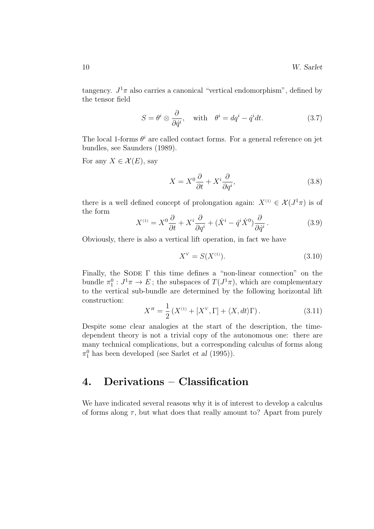tangency.  $J^1\pi$  also carries a canonical "vertical endomorphism", defined by the tensor field

$$
S = \theta^i \otimes \frac{\partial}{\partial \dot{q}^i}, \quad \text{with} \quad \theta^i = dq^i - \dot{q}^i dt. \tag{3.7}
$$

The local 1-forms  $\theta^i$  are called contact forms. For a general reference on jet bundles, see Saunders (1989).

For any  $X \in \mathcal{X}(E)$ , say

$$
X = X^0 \frac{\partial}{\partial t} + X^i \frac{\partial}{\partial q^i},\tag{3.8}
$$

there is a well defined concept of prolongation again:  $X^{(1)} \in \mathcal{X}(J^1\pi)$  is of the form

$$
X^{(1)} = X^0 \frac{\partial}{\partial t} + X^i \frac{\partial}{\partial q^i} + (\dot{X}^i - \dot{q}^i \dot{X}^0) \frac{\partial}{\partial \dot{q}^i}.
$$
 (3.9)

Obviously, there is also a vertical lift operation, in fact we have

$$
X^V = S(X^{(1)}).
$$
 (3.10)

Finally, the SODE  $\Gamma$  this time defines a "non-linear connection" on the bundle  $\pi_1^0: J^1\pi \to E$ ; the subspaces of  $T(J^1\pi)$ , which are complementary to the vertical sub-bundle are determined by the following horizontal lift construction:

$$
X^{H} = \frac{1}{2} \left( X^{(1)} + [X^{V}, \Gamma] + \langle X, dt \rangle \Gamma \right).
$$
 (3.11)

Despite some clear analogies at the start of the description, the timedependent theory is not a trivial copy of the autonomous one: there are many technical complications, but a corresponding calculus of forms along  $\pi_1^0$  has been developed (see Sarlet *et al* (1995)).

## 4. Derivations – Classification

We have indicated several reasons why it is of interest to develop a calculus of forms along  $\tau$ , but what does that really amount to? Apart from purely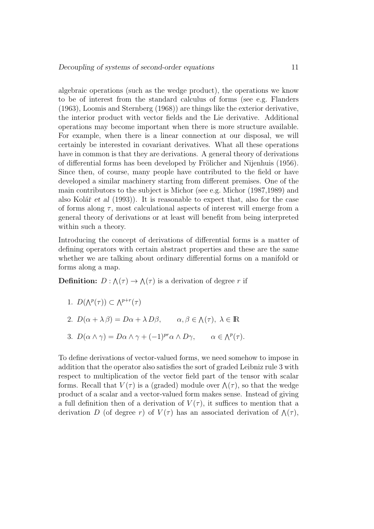algebraic operations (such as the wedge product), the operations we know to be of interest from the standard calculus of forms (see e.g. Flanders (1963), Loomis and Sternberg (1968)) are things like the exterior derivative, the interior product with vector fields and the Lie derivative. Additional operations may become important when there is more structure available. For example, when there is a linear connection at our disposal, we will certainly be interested in covariant derivatives. What all these operations have in common is that they are derivations. A general theory of derivations of differential forms has been developed by Frölicher and Nijenhuis (1956). Since then, of course, many people have contributed to the field or have developed a similar machinery starting from different premises. One of the main contributors to the subject is Michor (see e.g. Michor (1987,1989) and also Kolář et al  $(1993)$ ). It is reasonable to expect that, also for the case of forms along  $\tau$ , most calculational aspects of interest will emerge from a general theory of derivations or at least will benefit from being interpreted within such a theory.

Introducing the concept of derivations of differential forms is a matter of defining operators with certain abstract properties and these are the same whether we are talking about ordinary differential forms on a manifold or forms along a map.

**Definition:**  $D: \Lambda(\tau) \to \Lambda(\tau)$  is a derivation of degree r if

1. 
$$
D(\Lambda^p(\tau)) \subset \Lambda^{p+r}(\tau)
$$

- 2.  $D(\alpha + \lambda \beta) = D\alpha + \lambda D\beta, \qquad \alpha, \beta \in \Lambda(\tau), \ \lambda \in \mathbb{R}$
- 3.  $D(\alpha \wedge \gamma) = D\alpha \wedge \gamma + (-1)^{pr} \alpha \wedge D\gamma, \qquad \alpha \in \Lambda^p(\tau).$

To define derivations of vector-valued forms, we need somehow to impose in addition that the operator also satisfies the sort of graded Leibniz rule 3 with respect to multiplication of the vector field part of the tensor with scalar forms. Recall that  $V(\tau)$  is a (graded) module over  $\Lambda(\tau)$ , so that the wedge product of a scalar and a vector-valued form makes sense. Instead of giving a full definition then of a derivation of  $V(\tau)$ , it suffices to mention that a derivation D (of degree r) of  $V(\tau)$  has an associated derivation of  $\Lambda(\tau)$ ,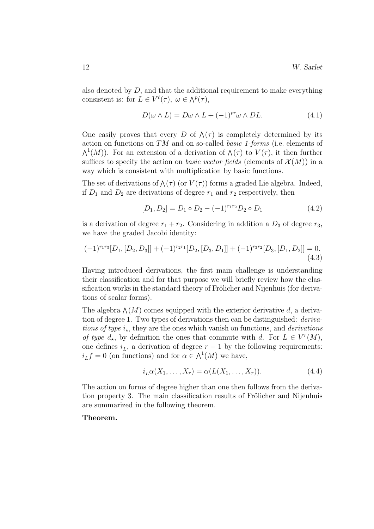also denoted by  $D$ , and that the additional requirement to make everything consistent is: for  $L \in V^{\ell}(\tau)$ ,  $\omega \in \Lambda^{p}(\tau)$ ,

$$
D(\omega \wedge L) = D\omega \wedge L + (-1)^{pr} \omega \wedge DL. \tag{4.1}
$$

One easily proves that every D of  $\Lambda(\tau)$  is completely determined by its action on functions on TM and on so-called basic 1-forms (i.e. elements of  $\Lambda^1(M)$ ). For an extension of a derivation of  $\Lambda(\tau)$  to  $V(\tau)$ , it then further suffices to specify the action on *basic vector fields* (elements of  $\mathcal{X}(M)$ ) in a way which is consistent with multiplication by basic functions.

The set of derivations of  $\Lambda(\tau)$  (or  $V(\tau)$ ) forms a graded Lie algebra. Indeed, if  $D_1$  and  $D_2$  are derivations of degree  $r_1$  and  $r_2$  respectively, then

$$
[D_1, D_2] = D_1 \circ D_2 - (-1)^{r_1 r_2} D_2 \circ D_1 \tag{4.2}
$$

is a derivation of degree  $r_1 + r_2$ . Considering in addition a  $D_3$  of degree  $r_3$ , we have the graded Jacobi identity:

$$
(-1)^{r_1r_3}[D_1,[D_2,D_3]] + (-1)^{r_2r_1}[D_2,[D_3,D_1]] + (-1)^{r_3r_2}[D_3,[D_1,D_2]] = 0.
$$
\n(4.3)

Having introduced derivations, the first main challenge is understanding their classification and for that purpose we will briefly review how the classification works in the standard theory of Frölicher and Nijenhuis (for derivations of scalar forms).

The algebra  $\Lambda(M)$  comes equipped with the exterior derivative d, a derivation of degree 1. Two types of derivations then can be distinguished: *deriva*tions of type  $i_{\star}$ , they are the ones which vanish on functions, and derivations of type  $d_{\star}$ , by definition the ones that commute with d. For  $L \in V^{r}(M)$ , one defines  $i_L$ , a derivation of degree  $r-1$  by the following requirements:  $i_L f = 0$  (on functions) and for  $\alpha \in \Lambda^1(M)$  we have,

$$
i_L \alpha(X_1, \dots, X_r) = \alpha(L(X_1, \dots, X_r)). \tag{4.4}
$$

The action on forms of degree higher than one then follows from the derivation property 3. The main classification results of Frölicher and Nijenhuis are summarized in the following theorem.

### Theorem.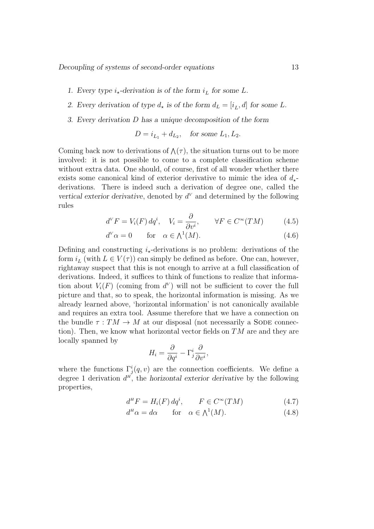Decoupling of systems of second-order equations 13

- 1. Every type  $i_{\star}$ -derivation is of the form  $i_L$  for some L.
- 2. Every derivation of type  $d_{\star}$  is of the form  $d_L = [i_L, d]$  for some L.
- 3. Every derivation D has a unique decomposition of the form

$$
D = i_{L_1} + d_{L_2}, \quad \text{for some } L_1, L_2.
$$

Coming back now to derivations of  $\Lambda(\tau)$ , the situation turns out to be more involved: it is not possible to come to a complete classification scheme without extra data. One should, of course, first of all wonder whether there exists some canonical kind of exterior derivative to mimic the idea of  $d_{\star}$ derivations. There is indeed such a derivation of degree one, called the vertical exterior derivative, denoted by  $d<sup>V</sup>$  and determined by the following rules

$$
d^V F = V_i(F) dq^i, \quad V_i = \frac{\partial}{\partial v^i}, \qquad \forall F \in C^{\infty}(TM)
$$
 (4.5)

$$
d^V \alpha = 0 \qquad \text{for} \quad \alpha \in \Lambda^1(M). \tag{4.6}
$$

Defining and constructing  $i_{\star}$ -derivations is no problem: derivations of the form  $i_L$  (with  $L \in V(\tau)$ ) can simply be defined as before. One can, however, rightaway suspect that this is not enough to arrive at a full classification of derivations. Indeed, it suffices to think of functions to realize that information about  $V_i(F)$  (coming from  $d^V$ ) will not be sufficient to cover the full picture and that, so to speak, the horizontal information is missing. As we already learned above, 'horizontal information' is not canonically available and requires an extra tool. Assume therefore that we have a connection on the bundle  $\tau : TM \rightarrow M$  at our disposal (not necessarily a SODE connection). Then, we know what horizontal vector fields on  $TM$  are and they are locally spanned by

$$
H_i = \frac{\partial}{\partial q^i} - \Gamma^i_j \frac{\partial}{\partial v^i},
$$

where the functions  $\Gamma^i_j(q, v)$  are the connection coefficients. We define a degree 1 derivation  $d^H$ , the horizontal exterior derivative by the following properties,

$$
d^H F = H_i(F) dq^i, \qquad F \in C^\infty(TM) \tag{4.7}
$$

$$
d^H \alpha = d\alpha \qquad \text{for} \quad \alpha \in \Lambda^1(M). \tag{4.8}
$$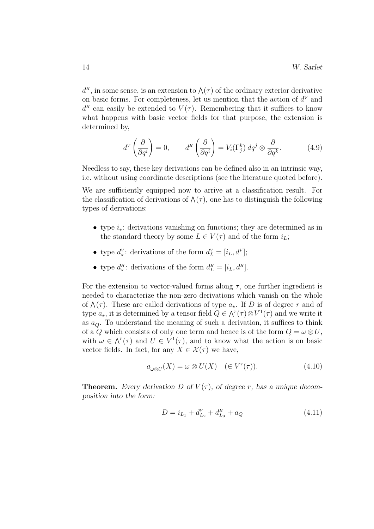$d^{\mu}$ , in some sense, is an extension to  $\Lambda(\tau)$  of the ordinary exterior derivative on basic forms. For completeness, let us mention that the action of  $d^V$  and  $d<sup>H</sup>$  can easily be extended to  $V(\tau)$ . Remembering that it suffices to know what happens with basic vector fields for that purpose, the extension is determined by,

$$
d^V\left(\frac{\partial}{\partial q^i}\right) = 0, \qquad d^H\left(\frac{\partial}{\partial q^i}\right) = V_i(\Gamma_j^k) \, dq^j \otimes \frac{\partial}{\partial q^k}.\tag{4.9}
$$

Needless to say, these key derivations can be defined also in an intrinsic way, i.e. without using coordinate descriptions (see the literature quoted before).

We are sufficiently equipped now to arrive at a classification result. For the classification of derivations of  $\Lambda(\tau)$ , one has to distinguish the following types of derivations:

- type  $i_{\star}$ : derivations vanishing on functions; they are determined as in the standard theory by some  $L \in V(\tau)$  and of the form  $i_L$ ;
- type  $d_{\star}^{V}$ : derivations of the form  $d_{L}^{V} = [i_{L}, d^{V}]$ ;
- type  $d_{\star}^H$ : derivations of the form  $d_L^H = [i_L, d^H]$ .

For the extension to vector-valued forms along  $\tau$ , one further ingredient is needed to characterize the non-zero derivations which vanish on the whole of  $\Lambda(\tau)$ . These are called derivations of type  $a_{\star}$ . If D is of degree r and of type  $a_{\star}$ , it is determined by a tensor field  $Q \in \Lambda^{r}(\tau) \otimes V^{1}(\tau)$  and we write it as  $a_{\mathcal{O}}$ . To understand the meaning of such a derivation, it suffices to think of a Q which consists of only one term and hence is of the form  $Q = \omega \otimes U$ , with  $\omega \in \Lambda^r(\tau)$  and  $U \in V^1(\tau)$ , and to know what the action is on basic vector fields. In fact, for any  $X \in \mathcal{X}(\tau)$  we have,

$$
a_{\omega \otimes U}(X) = \omega \otimes U(X) \quad (\in V^r(\tau)). \tag{4.10}
$$

**Theorem.** Every derivation D of  $V(\tau)$ , of degree r, has a unique decomposition into the form:

$$
D = i_{L_1} + d_{L_2}^V + d_{L_3}^H + a_Q \tag{4.11}
$$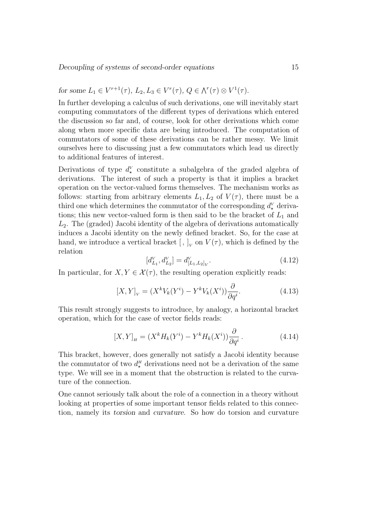for some  $L_1 \in V^{r+1}(\tau)$ ,  $L_2, L_3 \in V^{r}(\tau)$ ,  $Q \in \Lambda^{r}(\tau) \otimes V^{1}(\tau)$ .

In further developing a calculus of such derivations, one will inevitably start computing commutators of the different types of derivations which entered the discussion so far and, of course, look for other derivations which come along when more specific data are being introduced. The computation of commutators of some of these derivations can be rather messy. We limit ourselves here to discussing just a few commutators which lead us directly to additional features of interest.

Derivations of type  $d_{\star}^{V}$  constitute a subalgebra of the graded algebra of derivations. The interest of such a property is that it implies a bracket operation on the vector-valued forms themselves. The mechanism works as follows: starting from arbitrary elements  $L_1, L_2$  of  $V(\tau)$ , there must be a third one which determines the commutator of the corresponding  $d_{\star}^{V}$  derivations; this new vector-valued form is then said to be the bracket of  $L_1$  and  $L<sub>2</sub>$ . The (graded) Jacobi identity of the algebra of derivations automatically induces a Jacobi identity on the newly defined bracket. So, for the case at hand, we introduce a vertical bracket  $[ , ]_V$  on  $V(\tau)$ , which is defined by the relation

$$
[d_{L_1}^V, d_{L_2}^V] = d_{[L_1, L_2]_V}^V.
$$
\n(4.12)

In particular, for  $X, Y \in \mathcal{X}(\tau)$ , the resulting operation explicitly reads:

$$
[X,Y]_V = (X^k V_k(Y^i) - Y^k V_k(X^i)) \frac{\partial}{\partial q^i}.
$$
\n(4.13)

This result strongly suggests to introduce, by analogy, a horizontal bracket operation, which for the case of vector fields reads:

$$
[X,Y]_H = (X^k H_k(Y^i) - Y^k H_k(X^i)) \frac{\partial}{\partial q^i}.
$$
\n(4.14)

This bracket, however, does generally not satisfy a Jacobi identity because the commutator of two  $d_{\star}^H$  derivations need not be a derivation of the same type. We will see in a moment that the obstruction is related to the curvature of the connection.

One cannot seriously talk about the role of a connection in a theory without looking at properties of some important tensor fields related to this connection, namely its torsion and curvature. So how do torsion and curvature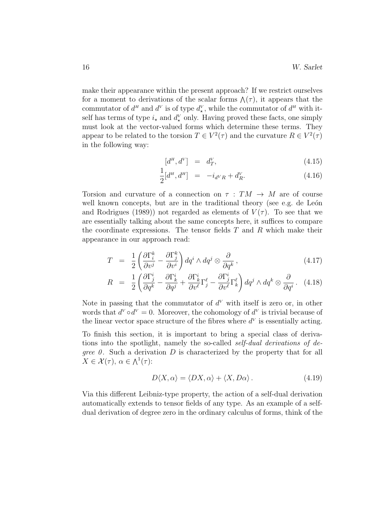make their appearance within the present approach? If we restrict ourselves for a moment to derivations of the scalar forms  $\Lambda(\tau)$ , it appears that the commutator of  $d^H$  and  $d^V$  is of type  $d^V_*$ , while the commutator of  $d^H$  with itself has terms of type  $i_{\star}$  and  $d_{\star}^V$  only. Having proved these facts, one simply must look at the vector-valued forms which determine these terms. They appear to be related to the torsion  $T \in V^2(\tau)$  and the curvature  $R \in V^2(\tau)$ in the following way:

$$
[d^H, d^V] = d^V_T, \tag{4.15}
$$

$$
\frac{1}{2}[d^H, d^H] = -i_{d^V R} + d_R^V.
$$
\n(4.16)

Torsion and curvature of a connection on  $\tau : TM \rightarrow M$  are of course well known concepts, but are in the traditional theory (see e.g. de León and Rodrigues (1989)) not regarded as elements of  $V(\tau)$ . To see that we are essentially talking about the same concepts here, it suffices to compare the coordinate expressions. The tensor fields  $T$  and  $R$  which make their appearance in our approach read:

$$
T = \frac{1}{2} \left( \frac{\partial \Gamma_i^k}{\partial v^j} - \frac{\partial \Gamma_j^k}{\partial v^i} \right) dq^i \wedge dq^j \otimes \frac{\partial}{\partial q^k} , \qquad (4.17)
$$

$$
R = \frac{1}{2} \left( \frac{\partial \Gamma_j^i}{\partial q^k} - \frac{\partial \Gamma_k^i}{\partial q^j} + \frac{\partial \Gamma_k^i}{\partial v^{\ell}} \Gamma_j^{\ell} - \frac{\partial \Gamma_j^i}{\partial v^{\ell}} \Gamma_k^{\ell} \right) dq^j \wedge dq^k \otimes \frac{\partial}{\partial q^i} . \tag{4.18}
$$

Note in passing that the commutator of  $d^V$  with itself is zero or, in other words that  $d^V \circ d^V = 0$ . Moreover, the cohomology of  $d^V$  is trivial because of the linear vector space structure of the fibres where  $d^V$  is essentially acting.

To finish this section, it is important to bring a special class of derivations into the spotlight, namely the so-called *self-dual derivations of degree 0.* Such a derivation  $D$  is characterized by the property that for all  $X \in \mathcal{X}(\tau)$ ,  $\alpha \in \Lambda^1(\tau)$ :

$$
D\langle X, \alpha \rangle = \langle DX, \alpha \rangle + \langle X, D\alpha \rangle. \tag{4.19}
$$

Via this different Leibniz-type property, the action of a self-dual derivation automatically extends to tensor fields of any type. As an example of a selfdual derivation of degree zero in the ordinary calculus of forms, think of the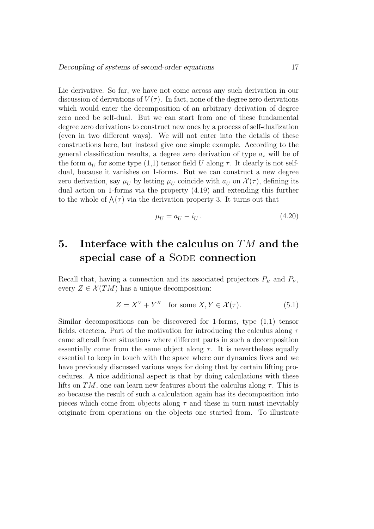Lie derivative. So far, we have not come across any such derivation in our discussion of derivations of  $V(\tau)$ . In fact, none of the degree zero derivations which would enter the decomposition of an arbitrary derivation of degree zero need be self-dual. But we can start from one of these fundamental degree zero derivations to construct new ones by a process of self-dualization (even in two different ways). We will not enter into the details of these constructions here, but instead give one simple example. According to the general classification results, a degree zero derivation of type  $a<sub>\star</sub>$  will be of the form  $a_U$  for some type  $(1,1)$  tensor field U along  $\tau$ . It clearly is not selfdual, because it vanishes on 1-forms. But we can construct a new degree zero derivation, say  $\mu_U$  by letting  $\mu_U$  coincide with  $a_U$  on  $\mathcal{X}(\tau)$ , defining its dual action on 1-forms via the property (4.19) and extending this further to the whole of  $\Lambda(\tau)$  via the derivation property 3. It turns out that

$$
\mu_U = a_U - i_U. \tag{4.20}
$$

## 5. Interface with the calculus on  $TM$  and the special case of a SODE connection

Recall that, having a connection and its associated projectors  $P<sub>H</sub>$  and  $P<sub>V</sub>$ , every  $Z \in \mathcal{X}(TM)$  has a unique decomposition:

$$
Z = X^V + Y^H \quad \text{for some } X, Y \in \mathcal{X}(\tau). \tag{5.1}
$$

Similar decompositions can be discovered for 1-forms, type (1,1) tensor fields, etcetera. Part of the motivation for introducing the calculus along  $\tau$ came afterall from situations where different parts in such a decomposition essentially come from the same object along  $\tau$ . It is nevertheless equally essential to keep in touch with the space where our dynamics lives and we have previously discussed various ways for doing that by certain lifting procedures. A nice additional aspect is that by doing calculations with these lifts on TM, one can learn new features about the calculus along  $\tau$ . This is so because the result of such a calculation again has its decomposition into pieces which come from objects along  $\tau$  and these in turn must inevitably originate from operations on the objects one started from. To illustrate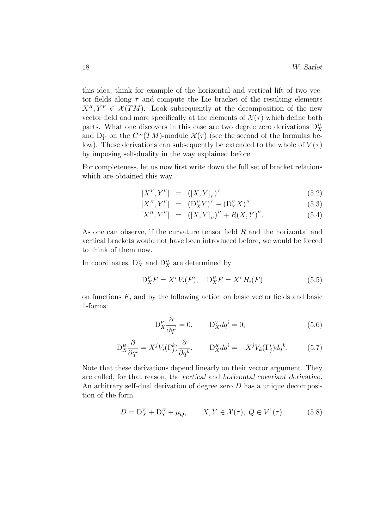this idea, think for example of the horizontal and vertical lift of two vector fields along  $\tau$  and compute the Lie bracket of the resulting elements  $X^H, Y^V \in \mathcal{X}(TM)$ . Look subsequently at the decomposition of the new vector field and more specifically at the elements of  $\mathcal{X}(\tau)$  which define both parts. What one discovers in this case are two degree zero derivations  $D_X^H$ and  $D_Y^V$  on the  $C^{\infty}(TM)$ -module  $\mathcal{X}(\tau)$  (see the second of the formulas below). These derivations can subsequently be extended to the whole of  $V(\tau)$ by imposing self-duality in the way explained before.

For completeness, let us now first write down the full set of bracket relations which are obtained this way.

$$
[X^V, Y^V] = ([X, Y]_V)^V
$$
\n
$$
(5.2)
$$

$$
[X^H, Y^V] = (D^H_X Y)^V - (D^V_Y X)^H
$$
\n(5.3)

$$
[X^H, Y^H] = ([X, Y]_H)^H + R(X, Y)^V.
$$
 (5.4)

As one can observe, if the curvature tensor field  $R$  and the horizontal and vertical brackets would not have been introduced before, we would be forced to think of them now.

In coordinates,  $D_X^V$  and  $D_X^H$  are determined by

$$
D_X^V F = X^i V_i(F), \quad D_X^H F = X^i H_i(F) \tag{5.5}
$$

on functions  $F$ , and by the following action on basic vector fields and basic 1-forms:

$$
D_X^V \frac{\partial}{\partial q^i} = 0, \qquad D_X^V dq^i = 0,
$$
\n(5.6)

$$
D_X^{\mu} \frac{\partial}{\partial q^i} = X^j V_i(\Gamma_j^k) \frac{\partial}{\partial q^k}, \qquad D_X^{\mu} dq^i = -X^j V_k(\Gamma_j^i) dq^k. \tag{5.7}
$$

Note that these derivations depend linearly on their vector argument. They are called, for that reason, the vertical and horizontal covariant derivative. An arbitrary self-dual derivation of degree zero D has a unique decomposition of the form

$$
D = D_X^V + D_Y^H + \mu_Q, \qquad X, Y \in \mathcal{X}(\tau), \ Q \in V^1(\tau). \tag{5.8}
$$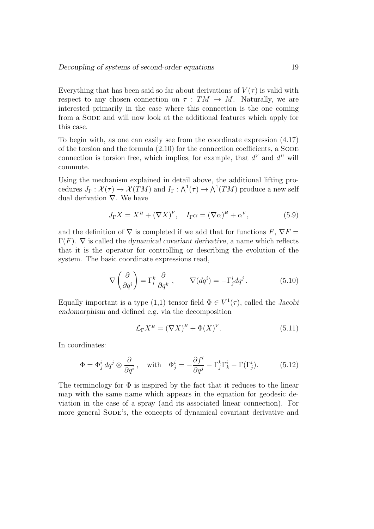Everything that has been said so far about derivations of  $V(\tau)$  is valid with respect to any chosen connection on  $\tau : TM \rightarrow M$ . Naturally, we are interested primarily in the case where this connection is the one coming from a SODE and will now look at the additional features which apply for this case.

To begin with, as one can easily see from the coordinate expression (4.17) of the torsion and the formula  $(2.10)$  for the connection coefficients, a SODE connection is torsion free, which implies, for example, that  $d^V$  and  $d^H$  will commute.

Using the mechanism explained in detail above, the additional lifting procedures  $J_{\Gamma}: \mathcal{X}(\tau) \to \mathcal{X}(TM)$  and  $I_{\Gamma}: \bigwedge^{1}(\tau) \to \bigwedge^{1}(TM)$  produce a new self dual derivation ∇. We have

$$
J_{\Gamma} X = X^{\mu} + (\nabla X)^{\nu}, \quad I_{\Gamma} \alpha = (\nabla \alpha)^{\mu} + \alpha^{\nu}, \tag{5.9}
$$

and the definition of  $\nabla$  is completed if we add that for functions  $F, \nabla F =$  $\Gamma(F)$ .  $\nabla$  is called the *dynamical covariant derivative*, a name which reflects that it is the operator for controlling or describing the evolution of the system. The basic coordinate expressions read,

$$
\nabla \left( \frac{\partial}{\partial q^i} \right) = \Gamma_i^k \frac{\partial}{\partial q^k} , \qquad \nabla (dq^i) = -\Gamma_j^i dq^j . \qquad (5.10)
$$

Equally important is a type  $(1,1)$  tensor field  $\Phi \in V^1(\tau)$ , called the *Jacobi* endomorphism and defined e.g. via the decomposition

$$
\mathcal{L}_{\Gamma} X^{\mu} = (\nabla X)^{\mu} + \Phi(X)^{\nu}.
$$
 (5.11)

In coordinates:

$$
\Phi = \Phi_j^i \, dq^j \otimes \frac{\partial}{\partial q^i} \,, \quad \text{with} \quad \Phi_j^i = -\frac{\partial f^i}{\partial q^j} - \Gamma_j^k \Gamma_k^i - \Gamma(\Gamma_j^i). \tag{5.12}
$$

The terminology for  $\Phi$  is inspired by the fact that it reduces to the linear map with the same name which appears in the equation for geodesic deviation in the case of a spray (and its associated linear connection). For more general SODE's, the concepts of dynamical covariant derivative and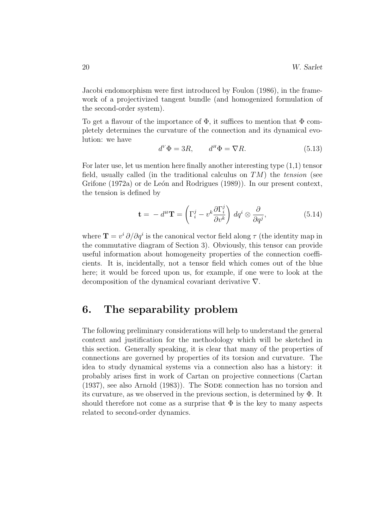Jacobi endomorphism were first introduced by Foulon (1986), in the framework of a projectivized tangent bundle (and homogenized formulation of the second-order system).

To get a flavour of the importance of  $\Phi$ , it suffices to mention that  $\Phi$  completely determines the curvature of the connection and its dynamical evolution: we have

$$
d^V \Phi = 3R, \qquad d^H \Phi = \nabla R. \tag{5.13}
$$

For later use, let us mention here finally another interesting type (1,1) tensor field, usually called (in the traditional calculus on  $TM$ ) the tension (see Grifone (1972a) or de León and Rodrigues (1989)). In our present context, the tension is defined by

$$
\mathbf{t} = -d^H \mathbf{T} = \left(\Gamma_i^j - v^k \frac{\partial \Gamma_i^j}{\partial v^k}\right) dq^i \otimes \frac{\partial}{\partial q^j},\tag{5.14}
$$

where  $\mathbf{T} = v^i \partial/\partial q^i$  is the canonical vector field along  $\tau$  (the identity map in the commutative diagram of Section 3). Obviously, this tensor can provide useful information about homogeneity properties of the connection coefficients. It is, incidentally, not a tensor field which comes out of the blue here; it would be forced upon us, for example, if one were to look at the decomposition of the dynamical covariant derivative ∇.

### 6. The separability problem

The following preliminary considerations will help to understand the general context and justification for the methodology which will be sketched in this section. Generally speaking, it is clear that many of the properties of connections are governed by properties of its torsion and curvature. The idea to study dynamical systems via a connection also has a history: it probably arises first in work of Cartan on projective connections (Cartan (1937), see also Arnold (1983)). The Sode connection has no torsion and its curvature, as we observed in the previous section, is determined by Φ. It should therefore not come as a surprise that  $\Phi$  is the key to many aspects related to second-order dynamics.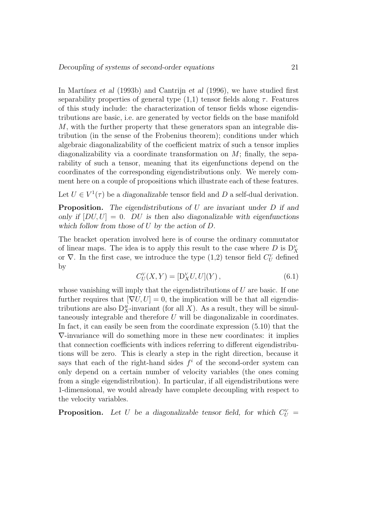In Martínez et al  $(1993b)$  and Cantrijn et al  $(1996)$ , we have studied first separability properties of general type  $(1,1)$  tensor fields along  $\tau$ . Features of this study include: the characterization of tensor fields whose eigendistributions are basic, i.e. are generated by vector fields on the base manifold M, with the further property that these generators span an integrable distribution (in the sense of the Frobenius theorem); conditions under which algebraic diagonalizability of the coefficient matrix of such a tensor implies diagonalizability via a coordinate transformation on  $M$ ; finally, the separability of such a tensor, meaning that its eigenfunctions depend on the coordinates of the corresponding eigendistributions only. We merely comment here on a couple of propositions which illustrate each of these features.

Let  $U \in V^1(\tau)$  be a diagonalizable tensor field and D a self-dual derivation.

**Proposition.** The eigendistributions of  $U$  are invariant under  $D$  if and only if  $[DU, U] = 0$ . DU is then also diagonalizable with eigenfunctions which follow from those of U by the action of D.

The bracket operation involved here is of course the ordinary commutator of linear maps. The idea is to apply this result to the case where  $D$  is  $D_X^V$ or  $\nabla$ . In the first case, we introduce the type (1,2) tensor field  $C_U^V$  defined by

$$
C^V_U(X,Y) = [D^V_X U, U](Y), \qquad (6.1)
$$

whose vanishing will imply that the eigendistributions of  $U$  are basic. If one further requires that  $[\nabla U, U] = 0$ , the implication will be that all eigendistributions are also  $D_X^H$ -invariant (for all X). As a result, they will be simultaneously integrable and therefore  $U$  will be diagonalizable in coordinates. In fact, it can easily be seen from the coordinate expression (5.10) that the ∇-invariance will do something more in these new coordinates: it implies that connection coefficients with indices referring to different eigendistributions will be zero. This is clearly a step in the right direction, because it says that each of the right-hand sides  $f^i$  of the second-order system can only depend on a certain number of velocity variables (the ones coming from a single eigendistribution). In particular, if all eigendistributions were 1-dimensional, we would already have complete decoupling with respect to the velocity variables.

**Proposition.** Let U be a diagonalizable tensor field, for which  $C_U^V$  =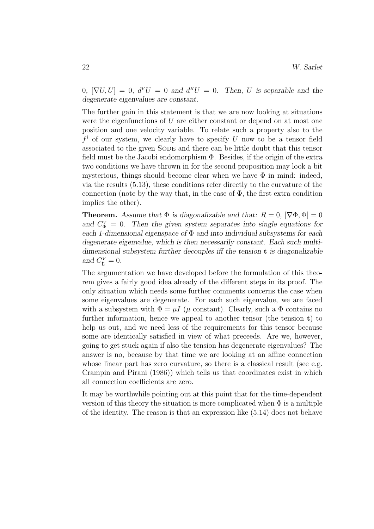$0, [\nabla U, U] = 0, d^V U = 0$  and  $d^H U = 0$ . Then, U is separable and the degenerate eigenvalues are constant.

The further gain in this statement is that we are now looking at situations were the eigenfunctions of  $U$  are either constant or depend on at most one position and one velocity variable. To relate such a property also to the  $f^i$  of our system, we clearly have to specify U now to be a tensor field associated to the given Sode and there can be little doubt that this tensor field must be the Jacobi endomorphism  $\Phi$ . Besides, if the origin of the extra two conditions we have thrown in for the second proposition may look a bit mysterious, things should become clear when we have  $\Phi$  in mind: indeed, via the results (5.13), these conditions refer directly to the curvature of the connection (note by the way that, in the case of  $\Phi$ , the first extra condition implies the other).

**Theorem.** Assume that  $\Phi$  is diagonalizable and that:  $R = 0$ ,  $[\nabla \Phi, \Phi] = 0$ and  $C_{\Phi}^V = 0$ . Then the given system separates into single equations for each 1-dimensional eigenspace of  $\Phi$  and into individual subsystems for each degenerate eigenvalue, which is then necessarily constant. Each such multidimensional subsystem further decouples iff the tension t is diagonalizable and  $C_{\mathbf{t}}^{\mathbf{v}} = 0$ .

The argumentation we have developed before the formulation of this theorem gives a fairly good idea already of the different steps in its proof. The only situation which needs some further comments concerns the case when some eigenvalues are degenerate. For each such eigenvalue, we are faced with a subsystem with  $\Phi = \mu I$  ( $\mu$  constant). Clearly, such a  $\Phi$  contains no further information, hence we appeal to another tensor (the tension  $t$ ) to help us out, and we need less of the requirements for this tensor because some are identically satisfied in view of what preceeds. Are we, however, going to get stuck again if also the tension has degenerate eigenvalues? The answer is no, because by that time we are looking at an affine connection whose linear part has zero curvature, so there is a classical result (see e.g. Crampin and Pirani (1986)) which tells us that coordinates exist in which all connection coefficients are zero.

It may be worthwhile pointing out at this point that for the time-dependent version of this theory the situation is more complicated when  $\Phi$  is a multiple of the identity. The reason is that an expression like (5.14) does not behave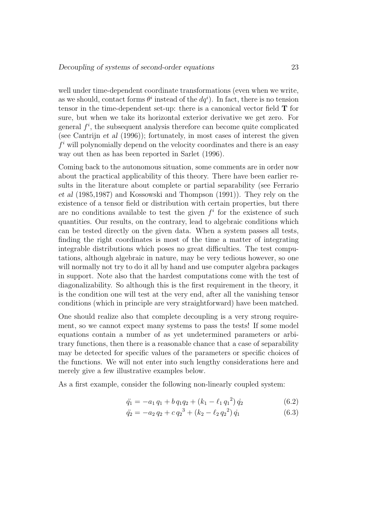well under time-dependent coordinate transformations (even when we write, as we should, contact forms  $\theta^i$  instead of the  $dq^i$ ). In fact, there is no tension tensor in the time-dependent set-up: there is a canonical vector field T for sure, but when we take its horizontal exterior derivative we get zero. For general  $f^i$ , the subsequent analysis therefore can become quite complicated (see Cantrijn *et al*  $(1996)$ ); fortunately, in most cases of interest the given  $f<sup>i</sup>$  will polynomially depend on the velocity coordinates and there is an easy way out then as has been reported in Sarlet (1996).

Coming back to the autonomous situation, some comments are in order now about the practical applicability of this theory. There have been earlier results in the literature about complete or partial separability (see Ferrario et al (1985,1987) and Kossowski and Thompson (1991)). They rely on the existence of a tensor field or distribution with certain properties, but there are no conditions available to test the given  $f^i$  for the existence of such quantities. Our results, on the contrary, lead to algebraic conditions which can be tested directly on the given data. When a system passes all tests, finding the right coordinates is most of the time a matter of integrating integrable distributions which poses no great difficulties. The test computations, although algebraic in nature, may be very tedious however, so one will normally not try to do it all by hand and use computer algebra packages in support. Note also that the hardest computations come with the test of diagonalizability. So although this is the first requirement in the theory, it is the condition one will test at the very end, after all the vanishing tensor conditions (which in principle are very straightforward) have been matched.

One should realize also that complete decoupling is a very strong requirement, so we cannot expect many systems to pass the tests! If some model equations contain a number of as yet undetermined parameters or arbitrary functions, then there is a reasonable chance that a case of separability may be detected for specific values of the parameters or specific choices of the functions. We will not enter into such lengthy considerations here and merely give a few illustrative examples below.

As a first example, consider the following non-linearly coupled system:

$$
\ddot{q}_1 = -a_1 q_1 + b q_1 q_2 + (k_1 - \ell_1 q_1^2) \dot{q}_2 \tag{6.2}
$$

$$
\ddot{q}_2 = -a_2 q_2 + c q_2^3 + (k_2 - \ell_2 q_2^2) \dot{q}_1 \tag{6.3}
$$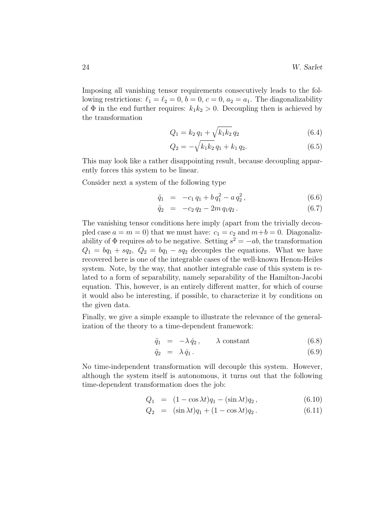Imposing all vanishing tensor requirements consecutively leads to the following restrictions:  $\ell_1 = \ell_2 = 0, b = 0, c = 0, a_2 = a_1$ . The diagonalizability of  $\Phi$  in the end further requires:  $k_1k_2 > 0$ . Decoupling then is achieved by the transformation

$$
Q_1 = k_2 q_1 + \sqrt{k_1 k_2} q_2 \tag{6.4}
$$

$$
Q_2 = -\sqrt{k_1 k_2} \, q_1 + k_1 \, q_2. \tag{6.5}
$$

This may look like a rather disappointing result, because decoupling apparently forces this system to be linear.

Consider next a system of the following type

$$
\ddot{q}_1 = -c_1 q_1 + b q_1^2 - a q_2^2, \qquad (6.6)
$$

$$
\ddot{q}_2 = -c_2 q_2 - 2m q_1 q_2. \tag{6.7}
$$

The vanishing tensor conditions here imply (apart from the trivially decoupled case  $a = m = 0$ ) that we must have:  $c_1 = c_2$  and  $m+b=0$ . Diagonalizability of  $\Phi$  requires ab to be negative. Setting  $s^2 = -ab$ , the transformation  $Q_1 = bq_1 + sq_2$ ,  $Q_2 = bq_1 - sq_2$  decouples the equations. What we have recovered here is one of the integrable cases of the well-known Henon-Heiles system. Note, by the way, that another integrable case of this system is related to a form of separability, namely separability of the Hamilton-Jacobi equation. This, however, is an entirely different matter, for which of course it would also be interesting, if possible, to characterize it by conditions on the given data.

Finally, we give a simple example to illustrate the relevance of the generalization of the theory to a time-dependent framework:

$$
\ddot{q}_1 = -\lambda \dot{q}_2, \qquad \lambda \text{ constant} \tag{6.8}
$$

$$
\ddot{q}_2 = \lambda \dot{q}_1. \tag{6.9}
$$

No time-independent transformation will decouple this system. However, although the system itself is autonomous, it turns out that the following time-dependent transformation does the job:

$$
Q_1 = (1 - \cos \lambda t)q_1 - (\sin \lambda t)q_2, \qquad (6.10)
$$

$$
Q_2 = (\sin \lambda t)q_1 + (1 - \cos \lambda t)q_2.
$$
 (6.11)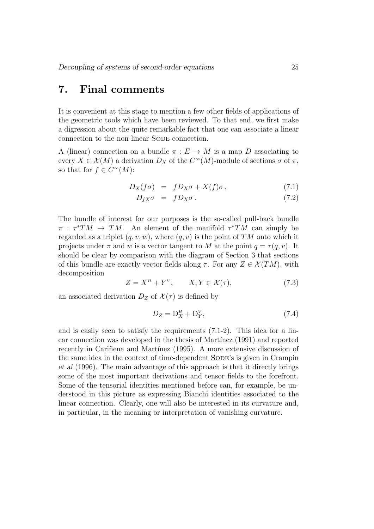### 7. Final comments

It is convenient at this stage to mention a few other fields of applications of the geometric tools which have been reviewed. To that end, we first make a digression about the quite remarkable fact that one can associate a linear connection to the non-linear SODE connection.

A (linear) connection on a bundle  $\pi : E \to M$  is a map D associating to every  $X \in \mathcal{X}(M)$  a derivation  $D_X$  of the  $C^{\infty}(M)$ -module of sections  $\sigma$  of  $\pi$ , so that for  $f \in C^{\infty}(M)$ :

$$
D_X(f\sigma) = fD_X\sigma + X(f)\sigma, \qquad (7.1)
$$

$$
D_{fX}\sigma = fD_X\sigma. \tag{7.2}
$$

The bundle of interest for our purposes is the so-called pull-back bundle  $\pi$ :  $\tau^*TM \to TM$ . An element of the manifold  $\tau^*TM$  can simply be regarded as a triplet  $(q, v, w)$ , where  $(q, v)$  is the point of TM onto which it projects under  $\pi$  and w is a vector tangent to M at the point  $q = \tau(q, v)$ . It should be clear by comparison with the diagram of Section 3 that sections of this bundle are exactly vector fields along  $\tau$ . For any  $Z \in \mathcal{X}(TM)$ , with decomposition

$$
Z = X^H + Y^V, \qquad X, Y \in \mathcal{X}(\tau), \tag{7.3}
$$

an associated derivation  $D_Z$  of  $\mathcal{X}(\tau)$  is defined by

$$
D_Z = D_X^H + D_Y^V,\t\t(7.4)
$$

and is easily seen to satisfy the requirements (7.1-2). This idea for a linear connection was developed in the thesis of Martínez (1991) and reported recently in Cariñena and Martínez (1995). A more extensive discussion of the same idea in the context of time-dependent SODE's is given in Crampin et al (1996). The main advantage of this approach is that it directly brings some of the most important derivations and tensor fields to the forefront. Some of the tensorial identities mentioned before can, for example, be understood in this picture as expressing Bianchi identities associated to the linear connection. Clearly, one will also be interested in its curvature and, in particular, in the meaning or interpretation of vanishing curvature.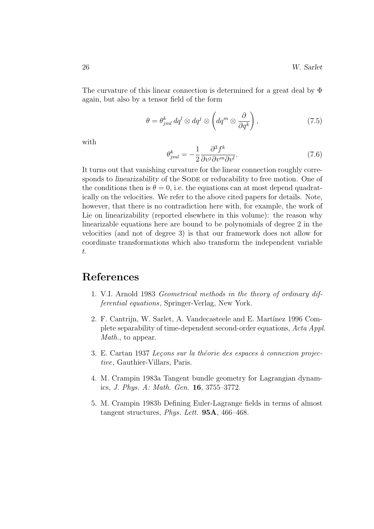The curvature of this linear connection is determined for a great deal by Φ again, but also by a tensor field of the form

$$
\theta = \theta_{jml}^k dq^l \otimes dq^j \otimes \left( dq^m \otimes \frac{\partial}{\partial q^k} \right), \qquad (7.5)
$$

with

$$
\theta_{jml}^k = -\frac{1}{2} \frac{\partial^3 f^k}{\partial v^j \partial v^m \partial v^l}.
$$
\n(7.6)

It turns out that vanishing curvature for the linear connection roughly corresponds to *linearizability* of the SODE or reducability to free motion. One of the conditions then is  $\theta = 0$ , i.e. the equations can at most depend quadratically on the velocities. We refer to the above cited papers for details. Note, however, that there is no contradiction here with, for example, the work of Lie on linearizability (reported elsewhere in this volume): the reason why linearizable equations here are bound to be polynomials of degree 2 in the velocities (and not of degree 3) is that our framework does not allow for coordinate transformations which also transform the independent variable t.

## References

- 1. V.I. Arnold 1983 Geometrical methods in the theory of ordinary differential equations, Springer-Verlag, New York.
- 2. F. Cantrijn, W. Sarlet, A. Vandecasteele and E. Martínez 1996 Complete separability of time-dependent second-order equations, Acta Appl. Math., to appear.
- 3. E. Cartan 1937 Leçons sur la théorie des espaces à connexion projective, Gauthier-Villars, Paris.
- 4. M. Crampin 1983a Tangent bundle geometry for Lagrangian dynamics, J. Phys. A: Math. Gen. 16, 3755–3772.
- 5. M. Crampin 1983b Defining Euler-Lagrange fields in terms of almost tangent structures, Phys. Lett. 95A, 466–468.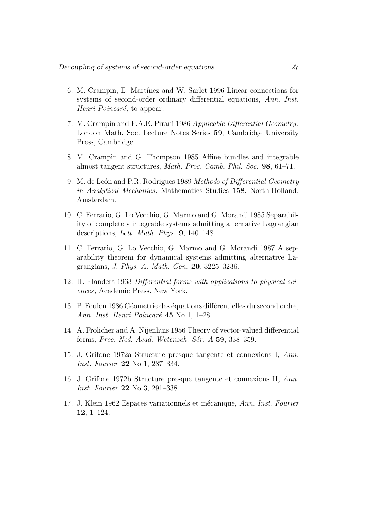- 6. M. Crampin, E. Martínez and W. Sarlet 1996 Linear connections for systems of second-order ordinary differential equations, Ann. Inst. Henri Poincaré, to appear.
- 7. M. Crampin and F.A.E. Pirani 1986 Applicable Differential Geometry, London Math. Soc. Lecture Notes Series 59, Cambridge University Press, Cambridge.
- 8. M. Crampin and G. Thompson 1985 Affine bundles and integrable almost tangent structures, Math. Proc. Camb. Phil. Soc. 98, 61–71.
- 9. M. de León and P.R. Rodrigues 1989 Methods of Differential Geometry in Analytical Mechanics, Mathematics Studies 158, North-Holland, Amsterdam.
- 10. C. Ferrario, G. Lo Vecchio, G. Marmo and G. Morandi 1985 Separability of completely integrable systems admitting alternative Lagrangian descriptions, Lett. Math. Phys. 9, 140–148.
- 11. C. Ferrario, G. Lo Vecchio, G. Marmo and G. Morandi 1987 A separability theorem for dynamical systems admitting alternative Lagrangians, J. Phys. A: Math. Gen. 20, 3225–3236.
- 12. H. Flanders 1963 Differential forms with applications to physical sciences, Academic Press, New York.
- 13. P. Foulon 1986 Géometrie des équations différentielles du second ordre, Ann. Inst. Henri Poincaré  $45$  No 1, 1–28.
- 14. A. Frölicher and A. Nijenhuis 1956 Theory of vector-valued differential forms, Proc. Ned. Acad. Wetensch. Sér.  $A$  59, 338–359.
- 15. J. Grifone 1972a Structure presque tangente et connexions I, Ann. Inst. Fourier 22 No 1, 287–334.
- 16. J. Grifone 1972b Structure presque tangente et connexions II, Ann. Inst. Fourier 22 No 3, 291–338.
- 17. J. Klein 1962 Espaces variationnels et mécanique, Ann. Inst. Fourier 12, 1–124.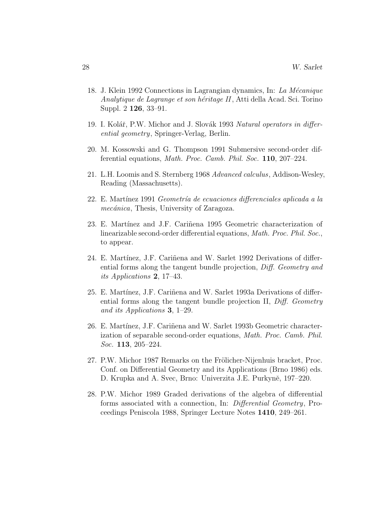- 18. J. Klein 1992 Connections in Lagrangian dynamics, In: La Mécanique Analytique de Lagrange et son héritage II, Atti della Acad. Sci. Torino Suppl. 2 126, 33–91.
- 19. I. Kolář, P.W. Michor and J. Slovák 1993 Natural operators in differential geometry, Springer-Verlag, Berlin.
- 20. M. Kossowski and G. Thompson 1991 Submersive second-order differential equations, Math. Proc. Camb. Phil. Soc. 110, 207–224.
- 21. L.H. Loomis and S. Sternberg 1968 Advanced calculus, Addison-Wesley, Reading (Massachusetts).
- 22. E. Martínez 1991 Geometría de ecuaciones differenciales aplicada a la mecánica, Thesis, University of Zaragoza.
- 23. E. Martínez and J.F. Cariñena 1995 Geometric characterization of linearizable second-order differential equations, Math. Proc. Phil. Soc., to appear.
- 24. E. Martínez, J.F. Cariñena and W. Sarlet 1992 Derivations of differential forms along the tangent bundle projection, Diff. Geometry and its Applications 2, 17–43.
- 25. E. Martínez, J.F. Cariñena and W. Sarlet 1993a Derivations of differential forms along the tangent bundle projection II, Diff. Geometry and its Applications 3, 1–29.
- 26. E. Martínez, J.F. Cariñena and W. Sarlet 1993b Geometric characterization of separable second-order equations, Math. Proc. Camb. Phil. Soc. **113**, 205-224.
- 27. P.W. Michor 1987 Remarks on the Frölicher-Nijenhuis bracket, Proc. Conf. on Differential Geometry and its Applications (Brno 1986) eds. D. Krupka and A. Svec, Brno: Univerzita J.E. Purkyně, 197–220.
- 28. P.W. Michor 1989 Graded derivations of the algebra of differential forms associated with a connection, In: Differential Geometry, Proceedings Peniscola 1988, Springer Lecture Notes 1410, 249–261.